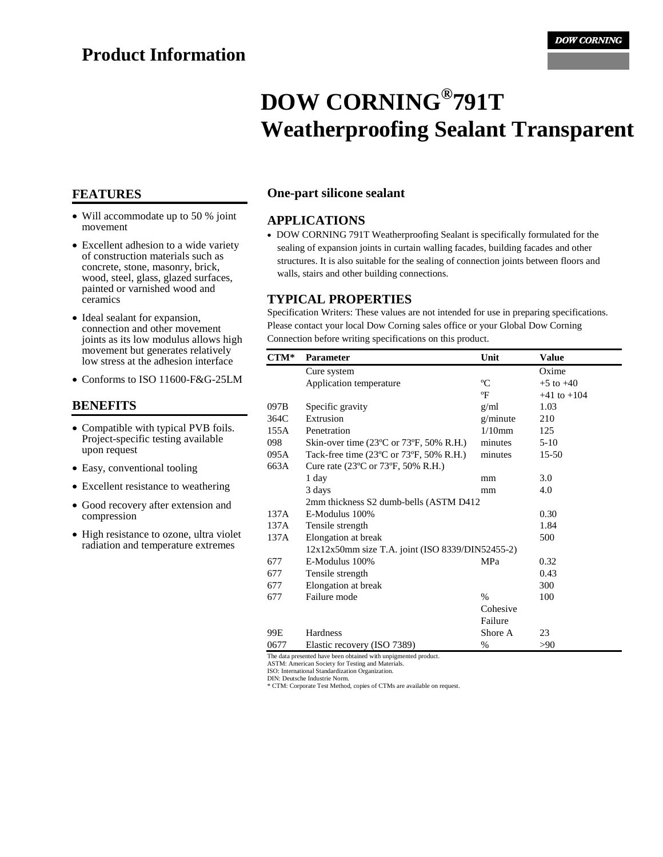# **Product Information**

# **DOW CORNING® 791T Weatherproofing Sealant Transparent**

- Will accommodate up to 50 % joint movement
- Excellent adhesion to a wide variety of construction materials such as concrete, stone, masonry, brick, wood, steel, glass, glazed surfaces, painted or varnished wood and ceramics
- Ideal sealant for expansion, connection and other movement joints as its low modulus allows high movement but generates relatively low stress at the adhesion interface
- Conforms to ISO 11600-F&G-25LM

#### **BENEFITS**

- Compatible with typical PVB foils. Project-specific testing available upon request
- Easy, conventional tooling
- Excellent resistance to weathering
- Good recovery after extension and compression
- High resistance to ozone, ultra violet radiation and temperature extremes

#### **FEATURES One-part silicone sealant**

#### **APPLICATIONS**

• DOW CORNING 791T Weatherproofing Sealant is specifically formulated for the sealing of expansion joints in curtain walling facades, building facades and other structures. It is also suitable for the sealing of connection joints between floors and walls, stairs and other building connections.

#### **TYPICAL PROPERTIES**

Specification Writers: These values are not intended for use in preparing specifications. Please contact your local Dow Corning sales office or your Global Dow Corning Connection before writing specifications on this product.

| $CTM^*$ | <b>Parameter</b>                                             | Unit        | <b>Value</b>    |
|---------|--------------------------------------------------------------|-------------|-----------------|
|         | Cure system                                                  |             | Oxime           |
|         | Application temperature                                      | $\rm ^{o}C$ | $+5$ to $+40$   |
|         |                                                              | °F          | $+41$ to $+104$ |
| 097B    | Specific gravity                                             | g/ml        | 1.03            |
| 364C    | Extrusion                                                    | g/minute    | 210             |
| 155A    | Penetration                                                  | $1/10$ mm   | 125             |
| 098     | Skin-over time $(23^{\circ}$ C or $73^{\circ}$ F, 50% R.H.)  | minutes     | $5-10$          |
| 095A    | Tack-free time $(23^{\circ}$ C or 73 $^{\circ}$ F, 50% R.H.) | minutes     | $15 - 50$       |
| 663A    | Cure rate (23°C or 73°F, 50% R.H.)                           |             |                 |
|         | 1 day                                                        | mm          | 3.0             |
|         | 3 days                                                       | mm          | 4.0             |
|         | 2mm thickness S2 dumb-bells (ASTM D412                       |             |                 |
| 137A    | E-Modulus 100%                                               |             | 0.30            |
| 137A    | Tensile strength                                             |             | 1.84            |
| 137A    | Elongation at break                                          |             | 500             |
|         | 12x12x50mm size T.A. joint (ISO 8339/DIN52455-2)             |             |                 |
| 677     | E-Modulus 100%                                               | <b>MPa</b>  | 0.32            |
| 677     | Tensile strength                                             |             | 0.43            |
| 677     | Elongation at break                                          |             | 300             |
| 677     | Failure mode                                                 | $\%$        | 100             |
|         |                                                              | Cohesive    |                 |
|         |                                                              | Failure     |                 |
| 99E     | <b>Hardness</b>                                              | Shore A     | 23              |
| 0677    | Elastic recovery (ISO 7389)                                  | %           | >90             |

The data presented have been obtained with unpigmented product. ASTM: American Society for Testing and Materials.

ISO: International Standardization Organization.

DIN: Deutsche Industrie Norm. \* CTM: Corporate Test Method, copies of CTMs are available on request.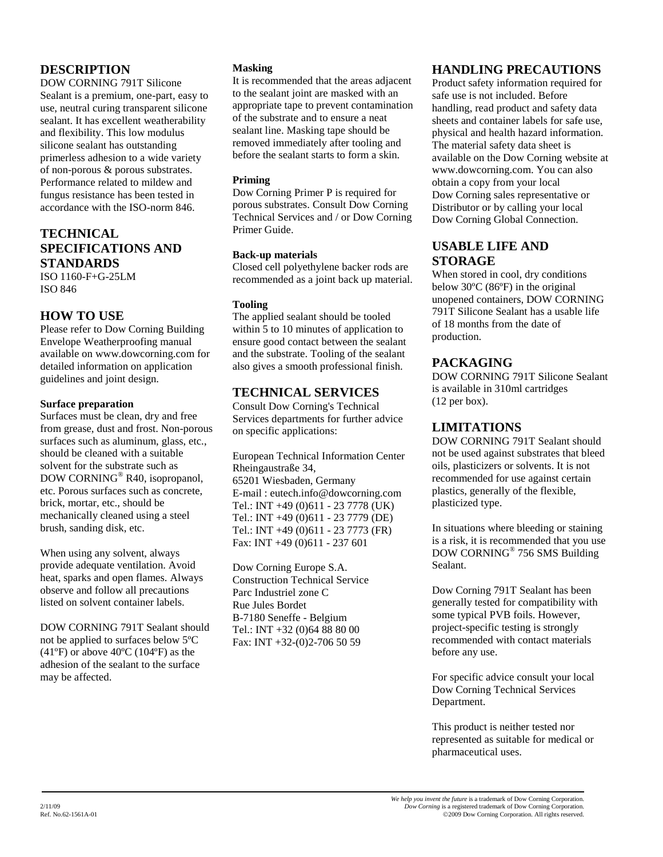# **DESCRIPTION**

DOW CORNING 791T Silicone Sealant is a premium, one-part, easy to use, neutral curing transparent silicone sealant. It has excellent weatherability and flexibility. This low modulus silicone sealant has outstanding primerless adhesion to a wide variety of non-porous & porous substrates. Performance related to mildew and fungus resistance has been tested in accordance with the ISO-norm 846.

### **TECHNICAL SPECIFICATIONS AND STANDARDS** ISO 1160-F+G-25LM

ISO 846

# **HOW TO USE**

Please refer to Dow Corning Building Envelope Weatherproofing manual available on www.dowcorning.com for detailed information on application guidelines and joint design.

#### **Surface preparation**

Surfaces must be clean, dry and free from grease, dust and frost. Non-porous surfaces such as aluminum, glass, etc., should be cleaned with a suitable solvent for the substrate such as DOW CORNING® R40, isopropanol, etc. Porous surfaces such as concrete, brick, mortar, etc., should be mechanically cleaned using a steel brush, sanding disk, etc.

When using any solvent, always provide adequate ventilation. Avoid heat, sparks and open flames. Always observe and follow all precautions listed on solvent container labels.

DOW CORNING 791T Sealant should not be applied to surfaces below 5ºC  $(41^{\circ}F)$  or above  $40^{\circ}C$  (104 $^{\circ}F$ ) as the adhesion of the sealant to the surface may be affected.

#### **Masking**

It is recommended that the areas adjacent to the sealant joint are masked with an appropriate tape to prevent contamination of the substrate and to ensure a neat sealant line. Masking tape should be removed immediately after tooling and before the sealant starts to form a skin.

#### **Priming**

Dow Corning Primer P is required for porous substrates. Consult Dow Corning Technical Services and / or Dow Corning Primer Guide.

#### **Back-up materials**

Closed cell polyethylene backer rods are recommended as a joint back up material.

#### **Tooling**

The applied sealant should be tooled within 5 to 10 minutes of application to ensure good contact between the sealant and the substrate. Tooling of the sealant also gives a smooth professional finish.

# **TECHNICAL SERVICES**

Consult Dow Corning's Technical Services departments for further advice on specific applications:

European Technical Information Center Rheingaustraße 34, 65201 Wiesbaden, Germany E-mail : eutech.info@dowcorning.com Tel.: INT +49 (0)611 - 23 7778 (UK) Tel.: INT +49 (0)611 - 23 7779 (DE) Tel.: INT +49 (0)611 - 23 7773 (FR) Fax: INT +49 (0)611 - 237 601

Dow Corning Europe S.A. Construction Technical Service Parc Industriel zone C Rue Jules Bordet B-7180 Seneffe - Belgium Tel.: INT +32 (0)64 88 80 00 Fax: INT +32-(0)2-706 50 59

# **HANDLING PRECAUTIONS**

Product safety information required for safe use is not included. Before handling, read product and safety data sheets and container labels for safe use, physical and health hazard information. The material safety data sheet is available on the Dow Corning website at www.dowcorning.com. You can also obtain a copy from your local Dow Corning sales representative or Distributor or by calling your local Dow Corning Global Connection.

# **USABLE LIFE AND STORAGE**

When stored in cool, dry conditions below 30ºC (86ºF) in the original unopened containers, DOW CORNING 791T Silicone Sealant has a usable life of 18 months from the date of production.

# **PACKAGING**

DOW CORNING 791T Silicone Sealant is available in 310ml cartridges (12 per box).

# **LIMITATIONS**

DOW CORNING 791T Sealant should not be used against substrates that bleed oils, plasticizers or solvents. It is not recommended for use against certain plastics, generally of the flexible, plasticized type.

In situations where bleeding or staining is a risk, it is recommended that you use DOW CORNING® 756 SMS Building Sealant.

Dow Corning 791T Sealant has been generally tested for compatibility with some typical PVB foils. However, project-specific testing is strongly recommended with contact materials before any use.

For specific advice consult your local Dow Corning Technical Services Department.

This product is neither tested nor represented as suitable for medical or pharmaceutical uses.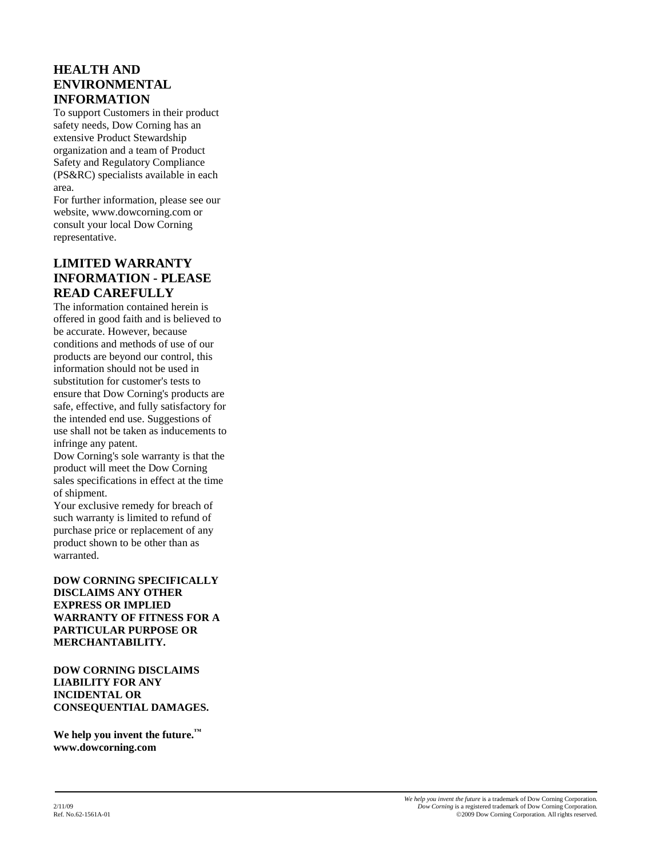# **HEALTH AND ENVIRONMENTAL INFORMATION**

To support Customers in their product safety needs, Dow Corning has an extensive Product Stewardship organization and a team of Product Safety and Regulatory Compliance (PS&RC) specialists available in each area.

For further information, please see our website, www.dowcorning.com or consult your local Dow Corning representative.

# **LIMITED WARRANTY INFORMATION - PLEASE READ CAREFULLY**

The information contained herein is offered in good faith and is believed to be accurate. However, because conditions and methods of use of our products are beyond our control, this information should not be used in substitution for customer's tests to ensure that Dow Corning's products are safe, effective, and fully satisfactory for the intended end use. Suggestions of use shall not be taken as inducements to infringe any patent.

Dow Corning's sole warranty is that the product will meet the Dow Corning sales specifications in effect at the time of shipment.

Your exclusive remedy for breach of such warranty is limited to refund of purchase price or replacement of any product shown to be other than as warranted.

#### **DOW CORNING SPECIFICALLY DISCLAIMS ANY OTHER EXPRESS OR IMPLIED WARRANTY OF FITNESS FOR A PARTICULAR PURPOSE OR MERCHANTABILITY.**

**DOW CORNING DISCLAIMS LIABILITY FOR ANY INCIDENTAL OR CONSEQUENTIAL DAMAGES.**

**We help you invent the future.**" **www.dowcorning.com**